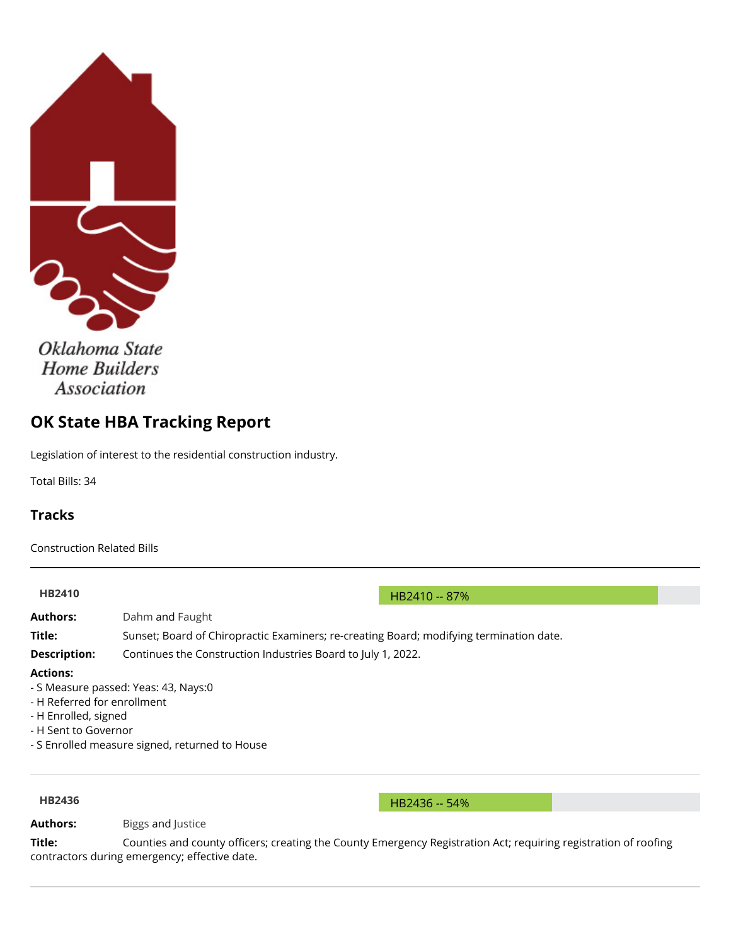<span id="page-0-0"></span>

Oklahoma State **Home Builders Association** 

# **OK State HBA Tracking Report**

Legislation of interest to the residential construction industry.

Total Bills: 34

# **Tracks**

Construction Related Bills

| <b>HB2410</b>               | HB2410 -- 87%                                                                           |  |  |
|-----------------------------|-----------------------------------------------------------------------------------------|--|--|
| <b>Authors:</b>             | Dahm and Faught                                                                         |  |  |
| Title:                      | Sunset; Board of Chiropractic Examiners; re-creating Board; modifying termination date. |  |  |
| <b>Description:</b>         | Continues the Construction Industries Board to July 1, 2022.                            |  |  |
| <b>Actions:</b>             |                                                                                         |  |  |
|                             | - S Measure passed: Yeas: 43, Nays:0                                                    |  |  |
| - H Referred for enrollment |                                                                                         |  |  |
| - H Enrolled, signed        |                                                                                         |  |  |
| - H Sent to Governor        |                                                                                         |  |  |

- S Enrolled measure signed, returned to House

**[HB2436](http://www.oklegislature.gov/BillInfo.aspx?Bill=HB2436&session=1600) HB2436** -- 54%

Authors: [Biggs](http://www.okhouse.gov/District.aspx?District=51) and [Justice](http://www.oksenate.gov/Senators/biographies/justice_bio.html)

Title: Counties and county officers; creating the County Emergency Registration Act; requiring registration of roofing contractors during emergency; effective date.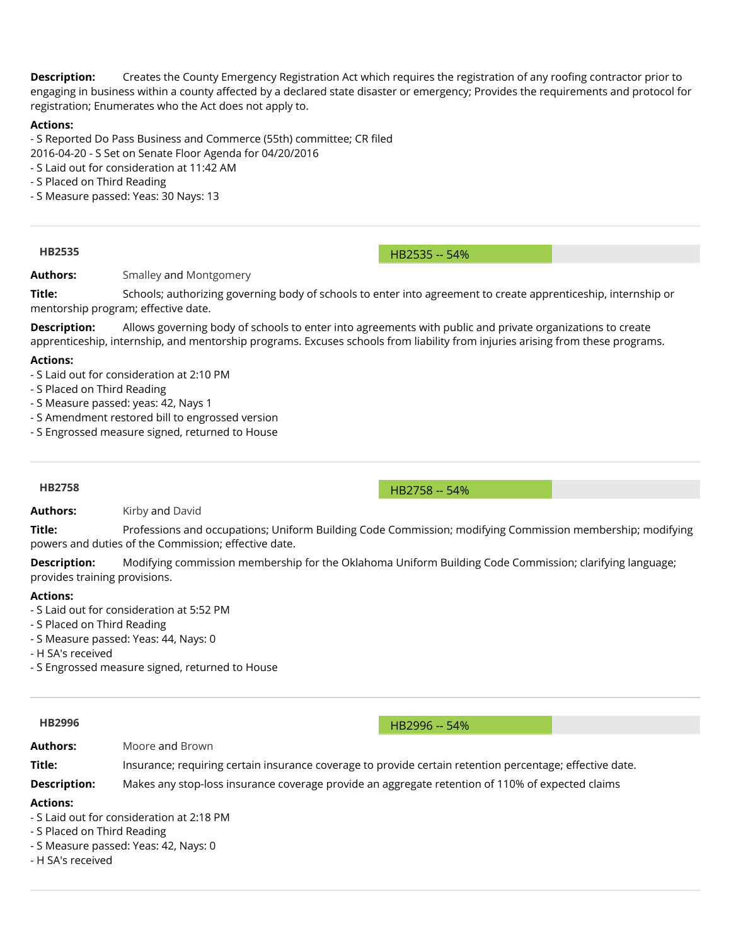**Description:** Creates the County Emergency Registration Act which requires the registration of any roofing contractor prior to engaging in business within a county affected by a declared state disaster or emergency; Provides the requirements and protocol for registration; Enumerates who the Act does not apply to.

### **Actions:**

- S Reported Do Pass Business and Commerce (55th) committee; CR filed

- 2016-04-20 S Set on Senate Floor Agenda for 04/20/2016
- S Laid out for consideration at 11:42 AM
- S Placed on Third Reading
- S Measure passed: Yeas: 30 Nays: 13

**[HB2535](http://www.oklegislature.gov/BillInfo.aspx?Bill=HB2535&session=1600)** HB2535 -- 54%

# **Authors:** [Smalley](http://www.oksenate.gov/Senators/biographies/smalley_bio.aspx) and [Montgomery](http://okhouse.gov/District.aspx?District=62)

**Title:** Schools; authorizing governing body of schools to enter into agreement to create apprenticeship, internship or mentorship program; effective date.

**Description:** Allows governing body of schools to enter into agreements with public and private organizations to create apprenticeship, internship, and mentorship programs. Excuses schools from liability from injuries arising from these programs.

### **Actions:**

- S Laid out for consideration at 2:10 PM
- S Placed on Third Reading
- S Measure passed: yeas: 42, Nays 1
- S Amendment restored bill to engrossed version
- S Engrossed measure signed, returned to House

### **[HB2758](http://www.oklegislature.gov/BillInfo.aspx?Bill=HB2758&session=1600)** HB2758 -- 54%

**Authors:** [Kirby](http://www.okhouse.gov/District.aspx?District=75) and [David](http://www.oksenate.gov/Senators/biographies/david_bio.html)

**Title:** Professions and occupations; Uniform Building Code Commission; modifying Commission membership; modifying powers and duties of the Commission; effective date.

**Description:** Modifying commission membership for the Oklahoma Uniform Building Code Commission; clarifying language; provides training provisions.

### **Actions:**

- S Laid out for consideration at 5:52 PM
- S Placed on Third Reading
- S Measure passed: Yeas: 44, Nays: 0
- H SA's received
- S Engrossed measure signed, returned to House

**[HB2996](http://www.oklegislature.gov/BillInfo.aspx?Bill=HB2996&session=1600)** -- 54%

**Authors:** [Moore](http://www.okhouse.gov/District.aspx?District=96) and [Brown](http://www.oksenate.gov/Senators/biographies/brown_bio.html)

**Title:** Insurance; requiring certain insurance coverage to provide certain retention percentage; effective date.

**Description:** Makes any stop-loss insurance coverage provide an aggregate retention of 110% of expected claims

### **Actions:**

- S Laid out for consideration at 2:18 PM
- S Placed on Third Reading
- S Measure passed: Yeas: 42, Nays: 0
- H SA's received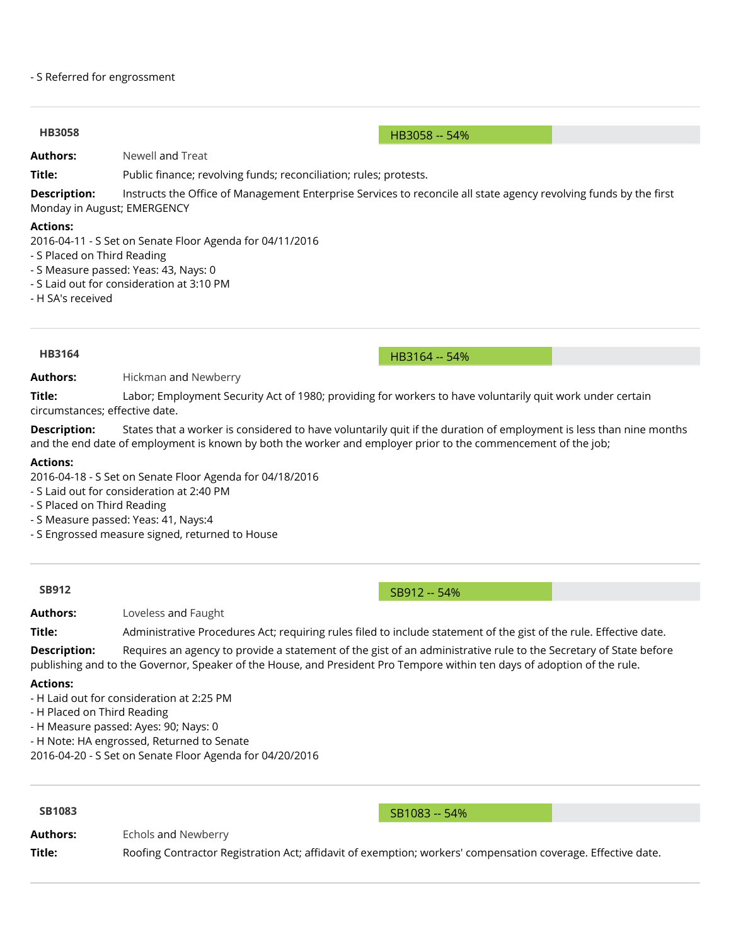### - S Referred for engrossment

### **[HB3058](http://www.oklegislature.gov/BillInfo.aspx?Bill=HB3058&session=1600)** HB3058 -- 54%

**Authors:** [Newell](http://www.okhouse.gov/District.aspx?District=28) and [Treat](http://www.oksenate.gov/Senators/biographies/treat_bio.html)

**Title:** Public finance; revolving funds; reconciliation; rules; protests.

**Description:** Instructs the Office of Management Enterprise Services to reconcile all state agency revolving funds by the first Monday in August; EMERGENCY

### **Actions:**

2016-04-11 - S Set on Senate Floor Agenda for 04/11/2016

- S Placed on Third Reading
- S Measure passed: Yeas: 43, Nays: 0
- S Laid out for consideration at 3:10 PM
- H SA's received

**[HB3164](http://www.oklegislature.gov/BillInfo.aspx?Bill=HB3164&session=1600)** -- 54%

**Authors:** [Hickman](http://www.okhouse.gov/District.aspx?District=58) and [Newberry](http://www.oksenate.gov/Senators/biographies/newberry_bio.html)

**Title:** Labor; Employment Security Act of 1980; providing for workers to have voluntarily quit work under certain circumstances; effective date.

**Description:** States that a worker is considered to have voluntarily quit if the duration of employment is less than nine months and the end date of employment is known by both the worker and employer prior to the commencement of the job;

### **Actions:**

2016-04-18 - S Set on Senate Floor Agenda for 04/18/2016

- S Laid out for consideration at 2:40 PM
- S Placed on Third Reading
- S Measure passed: Yeas: 41, Nays:4
- S Engrossed measure signed, returned to House

**Authors:** [Loveless](http://www.oksenate.gov/Senators/biographies/loveless_bio.html) and [Faught](http://www.okhouse.gov/District.aspx?District=14)

Title: Administrative Procedures Act; requiring rules filed to include statement of the gist of the rule. Effective date.

**Description:** Requires an agency to provide a statement of the gist of an administrative rule to the Secretary of State before publishing and to the Governor, Speaker of the House, and President Pro Tempore within ten days of adoption of the rule.

### **Actions:**

- H Laid out for consideration at 2:25 PM

- H Placed on Third Reading

- H Measure passed: Ayes: 90; Nays: 0

- H Note: HA engrossed, Returned to Senate

2016-04-20 - S Set on Senate Floor Agenda for 04/20/2016

**[SB1083](http://www.oklegislature.gov/BillInfo.aspx?Bill=SB1083&session=1600)** SB1083 -- 54%

**Authors:** [Echols](http://www.okhouse.gov/District.aspx?District=90) and [Newberry](http://www.oksenate.gov/Senators/biographies/newberry_bio.html)

Title: Roofing Contractor Registration Act; affidavit of exemption; workers' compensation coverage. Effective date.

# **[SB912](http://www.oklegislature.gov/BillInfo.aspx?Bill=SB912&session=1600)** -- 54%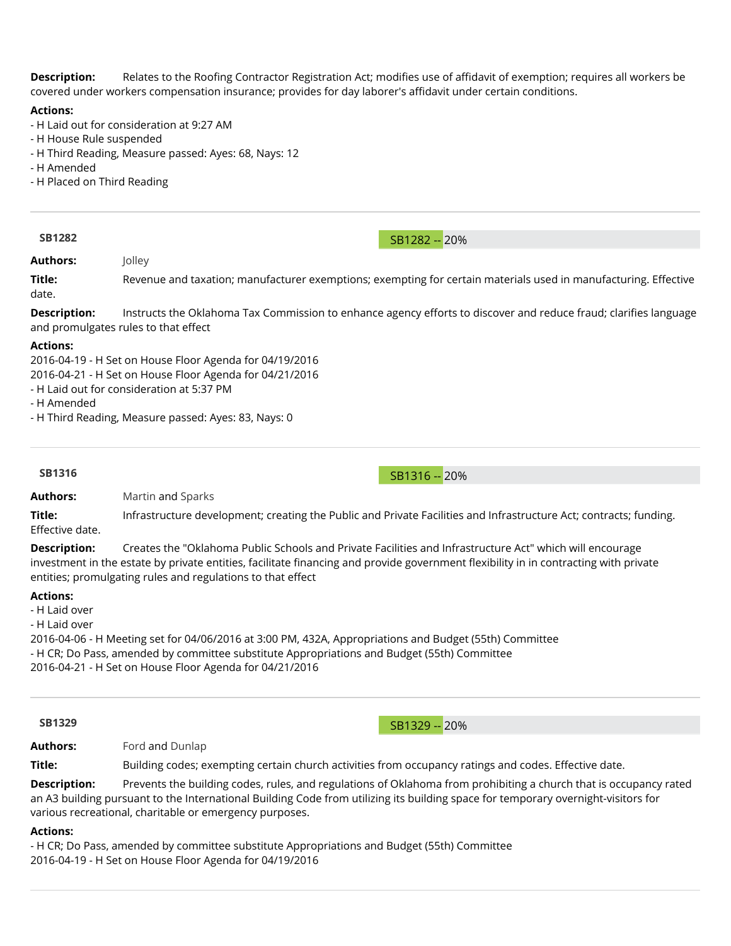**Description:** Relates to the Roofing Contractor Registration Act; modifies use of affidavit of exemption; requires all workers be covered under workers compensation insurance; provides for day laborer's affidavit under certain conditions.

### **Actions:**

- H Laid out for consideration at 9:27 AM
- H House Rule suspended
- H Third Reading, Measure passed: Ayes: 68, Nays: 12
- H Amended
- H Placed on Third Reading

**[SB1282](http://www.oklegislature.gov/BillInfo.aspx?Bill=SB1282&session=1600)** SB1282 -- 20%

**Authors:** [Jolley](http://www.oksenate.gov/Senators/biographies/jolley_bio.html)

Title: Revenue and taxation; manufacturer exemptions; exempting for certain materials used in manufacturing. Effective date.

**Description:** Instructs the Oklahoma Tax Commission to enhance agency efforts to discover and reduce fraud; clarifies language and promulgates rules to that effect

### **Actions:**

2016-04-19 - H Set on House Floor Agenda for 04/19/2016 2016-04-21 - H Set on House Floor Agenda for 04/21/2016

- H Laid out for consideration at 5:37 PM

- H Amended

- H Third Reading, Measure passed: Ayes: 83, Nays: 0

**[SB1316](http://www.oklegislature.gov/BillInfo.aspx?Bill=SB1316&session=1600)** SB1316 -- 20%

**Authors:** [Martin](http://www.okhouse.gov/District.aspx?District=46) and [Sparks](http://www.oksenate.gov/Senators/biographies/sparks_bio.html)

**Title:** Infrastructure development; creating the Public and Private Facilities and Infrastructure Act; contracts; funding. Effective date.

**Description:** Creates the "Oklahoma Public Schools and Private Facilities and Infrastructure Act" which will encourage investment in the estate by private entities, facilitate financing and provide government flexibility in in contracting with private entities; promulgating rules and regulations to that effect

### **Actions:**

- H Laid over

- H Laid over

2016-04-06 - H Meeting set for 04/06/2016 at 3:00 PM, 432A, Appropriations and Budget (55th) Committee - H CR; Do Pass, amended by committee substitute Appropriations and Budget (55th) Committee 2016-04-21 - H Set on House Floor Agenda for 04/21/2016

**[SB1329](http://www.oklegislature.gov/BillInfo.aspx?Bill=SB1329&session=1600)** SB1329 -- 20%

**Authors:** [Ford](http://www.oksenate.gov/Senators/biographies/ford_bio.html) and [Dunlap](http://www.okhouse.gov/District.aspx?District=10)

**Title:** Building codes; exempting certain church activities from occupancy ratings and codes. Effective date.

**Description:** Prevents the building codes, rules, and regulations of Oklahoma from prohibiting a church that is occupancy rated an A3 building pursuant to the International Building Code from utilizing its building space for temporary overnight-visitors for various recreational, charitable or emergency purposes.

### **Actions:**

- H CR; Do Pass, amended by committee substitute Appropriations and Budget (55th) Committee 2016-04-19 - H Set on House Floor Agenda for 04/19/2016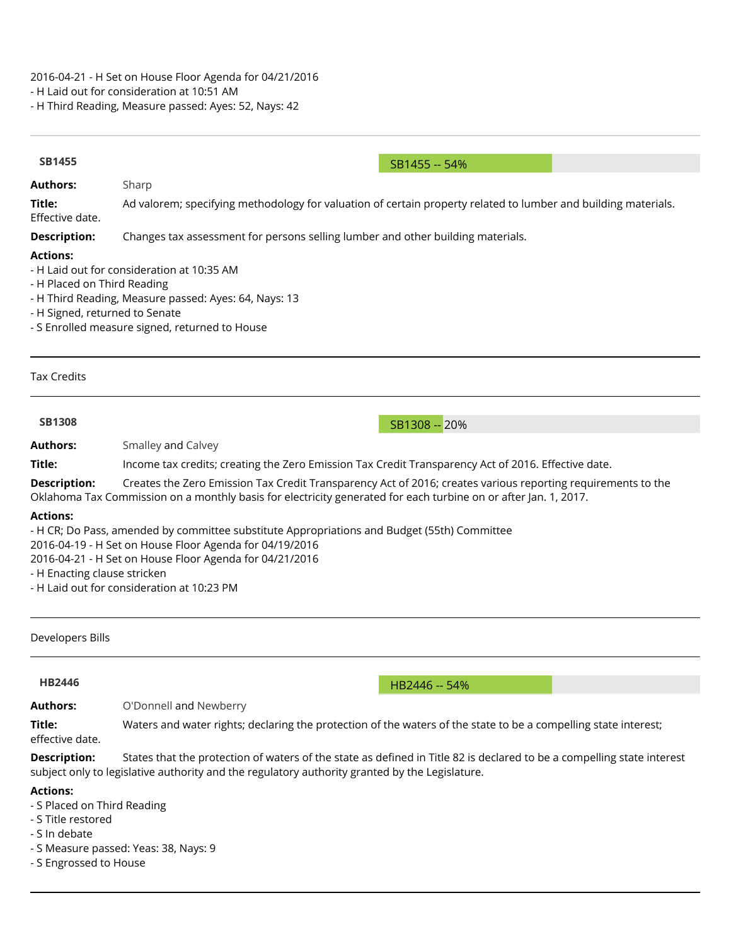2016-04-21 - H Set on House Floor Agenda for 04/21/2016

- H Laid out for consideration at 10:51 AM

- H Third Reading, Measure passed: Ayes: 52, Nays: 42

| <b>SB1455</b>                                                                                                   |                                                                                                                                                                                                                                                                 |  |  |  |  |
|-----------------------------------------------------------------------------------------------------------------|-----------------------------------------------------------------------------------------------------------------------------------------------------------------------------------------------------------------------------------------------------------------|--|--|--|--|
| <b>Authors:</b>                                                                                                 | SB1455 -- 54%                                                                                                                                                                                                                                                   |  |  |  |  |
| Title:                                                                                                          | Sharp<br>Ad valorem; specifying methodology for valuation of certain property related to lumber and building materials.                                                                                                                                         |  |  |  |  |
| Effective date.                                                                                                 |                                                                                                                                                                                                                                                                 |  |  |  |  |
| <b>Description:</b>                                                                                             | Changes tax assessment for persons selling lumber and other building materials.                                                                                                                                                                                 |  |  |  |  |
| <b>Actions:</b><br>- H Placed on Third Reading<br>- H Signed, returned to Senate                                | - H Laid out for consideration at 10:35 AM<br>- H Third Reading, Measure passed: Ayes: 64, Nays: 13<br>- S Enrolled measure signed, returned to House                                                                                                           |  |  |  |  |
| <b>Tax Credits</b>                                                                                              |                                                                                                                                                                                                                                                                 |  |  |  |  |
| <b>SB1308</b>                                                                                                   | SB1308 -- 20%                                                                                                                                                                                                                                                   |  |  |  |  |
| <b>Authors:</b>                                                                                                 | Smalley and Calvey                                                                                                                                                                                                                                              |  |  |  |  |
| Title:                                                                                                          | Income tax credits; creating the Zero Emission Tax Credit Transparency Act of 2016. Effective date.                                                                                                                                                             |  |  |  |  |
| <b>Description:</b>                                                                                             | Creates the Zero Emission Tax Credit Transparency Act of 2016; creates various reporting requirements to the<br>Oklahoma Tax Commission on a monthly basis for electricity generated for each turbine on or after Jan. 1, 2017.                                 |  |  |  |  |
| <b>Actions:</b><br>- H Enacting clause stricken                                                                 | - H CR; Do Pass, amended by committee substitute Appropriations and Budget (55th) Committee<br>2016-04-19 - H Set on House Floor Agenda for 04/19/2016<br>2016-04-21 - H Set on House Floor Agenda for 04/21/2016<br>- H Laid out for consideration at 10:23 PM |  |  |  |  |
| Developers Bills                                                                                                |                                                                                                                                                                                                                                                                 |  |  |  |  |
| <b>HB2446</b>                                                                                                   | HB2446 -- 54%                                                                                                                                                                                                                                                   |  |  |  |  |
| <b>Authors:</b>                                                                                                 | O'Donnell and Newberry                                                                                                                                                                                                                                          |  |  |  |  |
| Title:<br>effective date.                                                                                       | Waters and water rights; declaring the protection of the waters of the state to be a compelling state interest;                                                                                                                                                 |  |  |  |  |
| <b>Description:</b>                                                                                             | States that the protection of waters of the state as defined in Title 82 is declared to be a compelling state interest<br>subject only to legislative authority and the regulatory authority granted by the Legislature.                                        |  |  |  |  |
| <b>Actions:</b><br>- S Placed on Third Reading<br>- S Title restored<br>- S In debate<br>- S Engrossed to House | - S Measure passed: Yeas: 38, Nays: 9                                                                                                                                                                                                                           |  |  |  |  |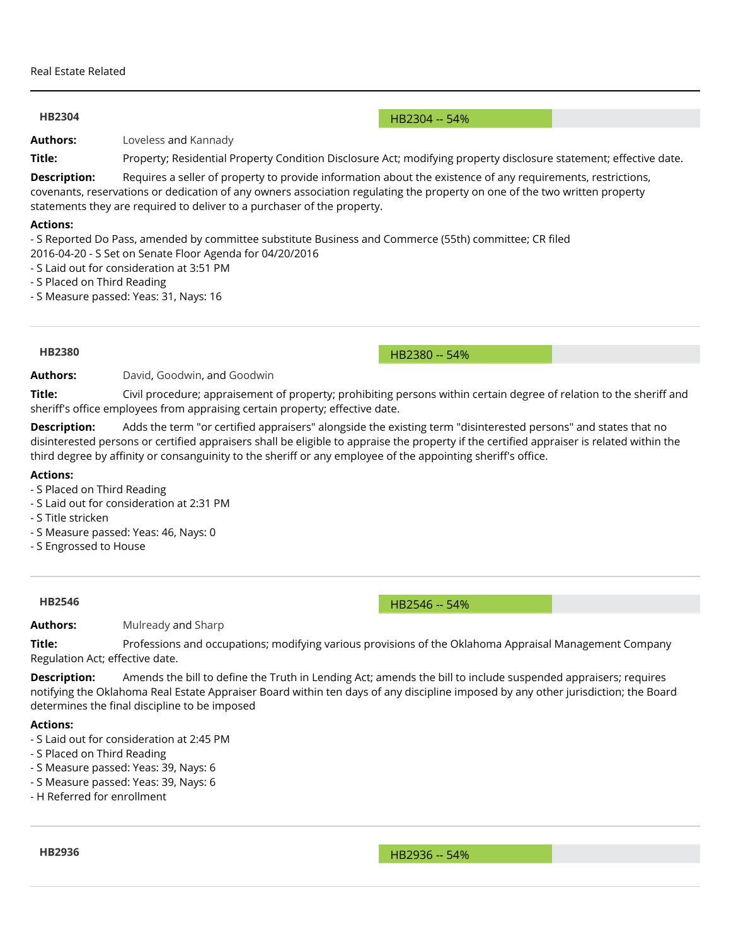### **[HB2304](http://www.oklegislature.gov/BillInfo.aspx?Bill=HB2304&session=1600)** -- 54%

**Authors:** [Loveless](http://www.oksenate.gov/Senators/biographies/loveless_bio.html) and [Kannady](http://www.okhouse.gov/District.aspx?District=91)

**Title:** Property; Residential Property Condition Disclosure Act; modifying property disclosure statement; effective date.

**Description:** Requires a seller of property to provide information about the existence of any requirements, restrictions, covenants, reservations or dedication of any owners association regulating the property on one of the two written property statements they are required to deliver to a purchaser of the property.

### **Actions:**

- S Reported Do Pass, amended by committee substitute Business and Commerce (55th) committee; CR Iled

- 2016-04-20 S Set on Senate Floor Agenda for 04/20/2016
- S Laid out for consideration at 3:51 PM
- S Placed on Third Reading
- S Measure passed: Yeas: 31, Nays: 16

**[HB2380](http://www.oklegislature.gov/BillInfo.aspx?Bill=HB2380&session=1600)** -- 54%

**Authors:** [David,](http://www.oksenate.gov/Senators/biographies/david_bio.html) [Goodwin,](#page-0-0) and [Goodwin](#page-0-0)

Title: Civil procedure; appraisement of property; prohibiting persons within certain degree of relation to the sheriff and sheriff's office employees from appraising certain property; effective date.

**Description:** Adds the term "or certified appraisers" alongside the existing term "disinterested persons" and states that no disinterested persons or certified appraisers shall be eligible to appraise the property if the certified appraiser is related within the third degree by affinity or consanguinity to the sheriff or any employee of the appointing sheriff's office.

### **Actions:**

- S Placed on Third Reading
- S Laid out for consideration at 2:31 PM
- S Title stricken
- S Measure passed: Yeas: 46, Nays: 0
- S Engrossed to House

**[HB2546](http://www.oklegislature.gov/BillInfo.aspx?Bill=HB2546&session=1600)** -- 54%

**Authors:** [Mulready](http://www.okhouse.gov/District.aspx?District=68) and [Sharp](http://www.oksenate.gov/Senators/biographies/sharp_bio.html)

**Title:** Professions and occupations; modifying various provisions of the Oklahoma Appraisal Management Company Regulation Act; effective date.

**Description:** Amends the bill to define the Truth in Lending Act; amends the bill to include suspended appraisers; requires notifying the Oklahoma Real Estate Appraiser Board within ten days of any discipline imposed by any other jurisdiction; the Board determines the final discipline to be imposed

### **Actions:**

- S Laid out for consideration at 2:45 PM
- S Placed on Third Reading
- S Measure passed: Yeas: 39, Nays: 6
- S Measure passed: Yeas: 39, Nays: 6
- H Referred for enrollment

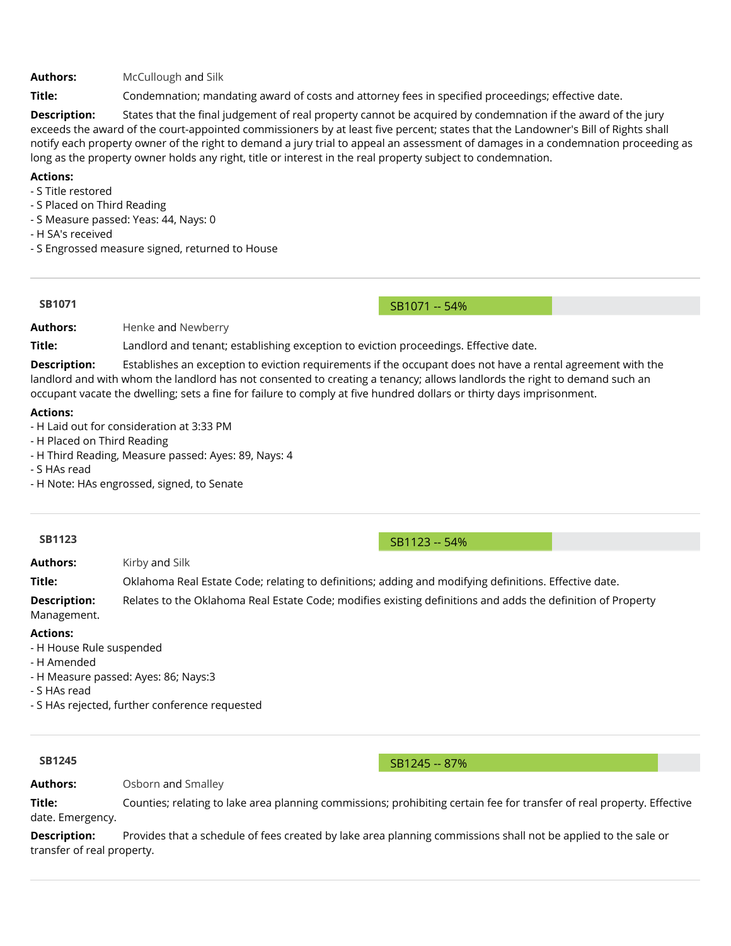**Authors:** [McCullough](http://www.okhouse.gov/District.aspx?District=30) and [Silk](http://www.oksenate.gov/Senators/biographies/silk_bio.aspx)

Title: Condemnation; mandating award of costs and attorney fees in specified proceedings; effective date.

**Description:** States that the final judgement of real property cannot be acquired by condemnation if the award of the jury exceeds the award of the court-appointed commissioners by at least Ive percent; states that the Landowner's Bill of Rights shall notify each property owner of the right to demand a jury trial to appeal an assessment of damages in a condemnation proceeding as long as the property owner holds any right, title or interest in the real property subject to condemnation.

# **Actions:**

- S Title restored

- S Placed on Third Reading
- S Measure passed: Yeas: 44, Nays: 0
- H SA's received
- S Engrossed measure signed, returned to House

**[SB1071](http://www.oklegislature.gov/BillInfo.aspx?Bill=SB1071&session=1600)** SB1071 -- 54%

Authors: [Henke](http://www.okhouse.gov/District.aspx?District=71) and [Newberry](http://www.oksenate.gov/Senators/biographies/newberry_bio.html)

**Title:** Landlord and tenant; establishing exception to eviction proceedings. Effective date.

**Description:** Establishes an exception to eviction requirements if the occupant does not have a rental agreement with the landlord and with whom the landlord has not consented to creating a tenancy; allows landlords the right to demand such an occupant vacate the dwelling; sets a fine for failure to comply at five hundred dollars or thirty days imprisonment.

### **Actions:**

- H Laid out for consideration at 3:33 PM
- H Placed on Third Reading
- H Third Reading, Measure passed: Ayes: 89, Nays: 4
- S HAs read
- H Note: HAs engrossed, signed, to Senate

# **[SB1123](http://www.oklegislature.gov/BillInfo.aspx?Bill=SB1123&session=1600)** SB1123 -- 54%

**Authors:** [Kirby](http://www.okhouse.gov/District.aspx?District=75) and [Silk](http://www.oksenate.gov/Senators/biographies/silk_bio.aspx)

**Title:** Oklahoma Real Estate Code; relating to definitions; adding and modifying definitions. Effective date.

**Description:** Relates to the Oklahoma Real Estate Code; modifies existing definitions and adds the definition of Property Management.

### **Actions:**

- H House Rule suspended
- H Amended
- H Measure passed: Ayes: 86; Nays:3
- S HAs read
- S HAs rejected, further conference requested

**[SB1245](http://www.oklegislature.gov/BillInfo.aspx?Bill=SB1245&session=1600)** SB1245 -- 87%

# **Authors:** [Osborn](http://www.okhouse.gov/District.aspx?District=47) and [Smalley](http://www.oksenate.gov/Senators/biographies/smalley_bio.aspx)

**Title:** Counties; relating to lake area planning commissions; prohibiting certain fee for transfer of real property. Effective date. Emergency.

**Description:** Provides that a schedule of fees created by lake area planning commissions shall not be applied to the sale or transfer of real property.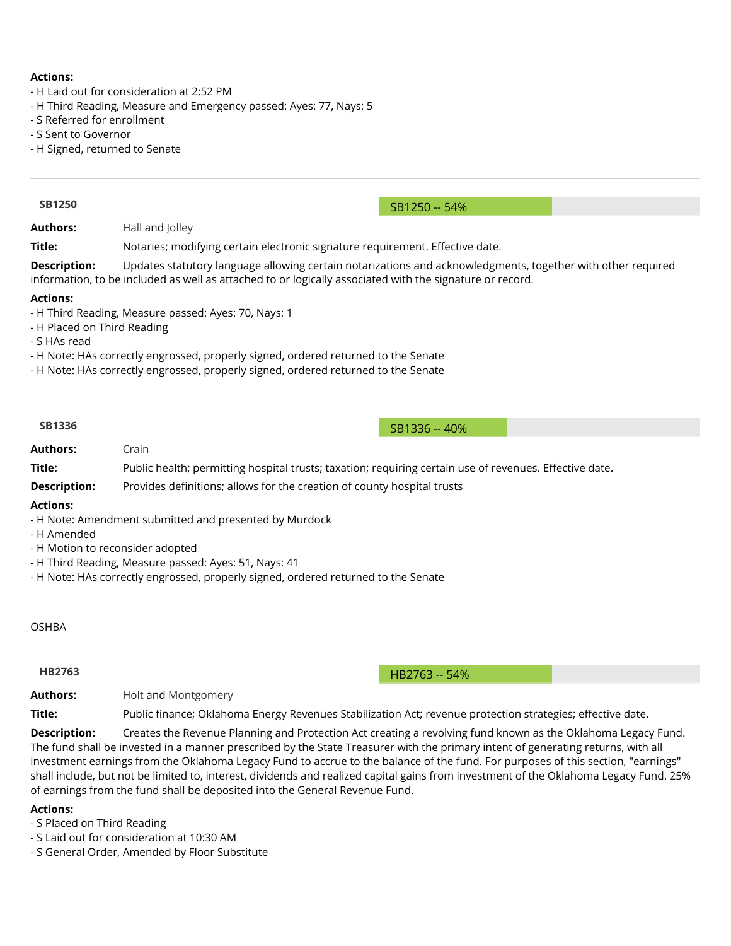### **Actions:**

- H Laid out for consideration at 2:52 PM
- H Third Reading, Measure and Emergency passed: Ayes: 77, Nays: 5
- S Referred for enrollment
- S Sent to Governor
- H Signed, returned to Senate

| <b>SB1250</b>                                                                                                                                                                                                                                                                                      |                                                                                                                                                                                                                         |               |  |  |  |  |
|----------------------------------------------------------------------------------------------------------------------------------------------------------------------------------------------------------------------------------------------------------------------------------------------------|-------------------------------------------------------------------------------------------------------------------------------------------------------------------------------------------------------------------------|---------------|--|--|--|--|
|                                                                                                                                                                                                                                                                                                    |                                                                                                                                                                                                                         | SB1250 -- 54% |  |  |  |  |
| <b>Authors:</b>                                                                                                                                                                                                                                                                                    | Hall and Jolley                                                                                                                                                                                                         |               |  |  |  |  |
| Title:                                                                                                                                                                                                                                                                                             | Notaries; modifying certain electronic signature requirement. Effective date.                                                                                                                                           |               |  |  |  |  |
| <b>Description:</b>                                                                                                                                                                                                                                                                                | Updates statutory language allowing certain notarizations and acknowledgments, together with other required<br>information, to be included as well as attached to or logically associated with the signature or record. |               |  |  |  |  |
| <b>Actions:</b><br>- H Third Reading, Measure passed: Ayes: 70, Nays: 1<br>- H Placed on Third Reading<br>- S HAs read<br>- H Note: HAs correctly engrossed, properly signed, ordered returned to the Senate<br>- H Note: HAs correctly engrossed, properly signed, ordered returned to the Senate |                                                                                                                                                                                                                         |               |  |  |  |  |
| <b>SB1336</b>                                                                                                                                                                                                                                                                                      |                                                                                                                                                                                                                         |               |  |  |  |  |
|                                                                                                                                                                                                                                                                                                    |                                                                                                                                                                                                                         | SB1336 -- 40% |  |  |  |  |
| <b>Authors:</b>                                                                                                                                                                                                                                                                                    | Crain                                                                                                                                                                                                                   |               |  |  |  |  |
| Title:                                                                                                                                                                                                                                                                                             | Public health; permitting hospital trusts; taxation; requiring certain use of revenues. Effective date.                                                                                                                 |               |  |  |  |  |
| <b>Description:</b>                                                                                                                                                                                                                                                                                | Provides definitions; allows for the creation of county hospital trusts                                                                                                                                                 |               |  |  |  |  |

OSHBA

**[HB2763](http://www.oklegislature.gov/BillInfo.aspx?Bill=HB2763&session=1600)** -- 54%

Authors: **[Holt](http://www.oksenate.gov/Senators/biographies/holt_bio.html) and [Montgomery](http://okhouse.gov/District.aspx?District=62)** 

Title: Public finance; Oklahoma Energy Revenues Stabilization Act; revenue protection strategies; effective date.

**Description:** Creates the Revenue Planning and Protection Act creating a revolving fund known as the Oklahoma Legacy Fund. The fund shall be invested in a manner prescribed by the State Treasurer with the primary intent of generating returns, with all investment earnings from the Oklahoma Legacy Fund to accrue to the balance of the fund. For purposes of this section, "earnings" shall include, but not be limited to, interest, dividends and realized capital gains from investment of the Oklahoma Legacy Fund. 25% of earnings from the fund shall be deposited into the General Revenue Fund.

### **Actions:**

- S Placed on Third Reading

- S Laid out for consideration at 10:30 AM

- S General Order, Amended by Floor Substitute